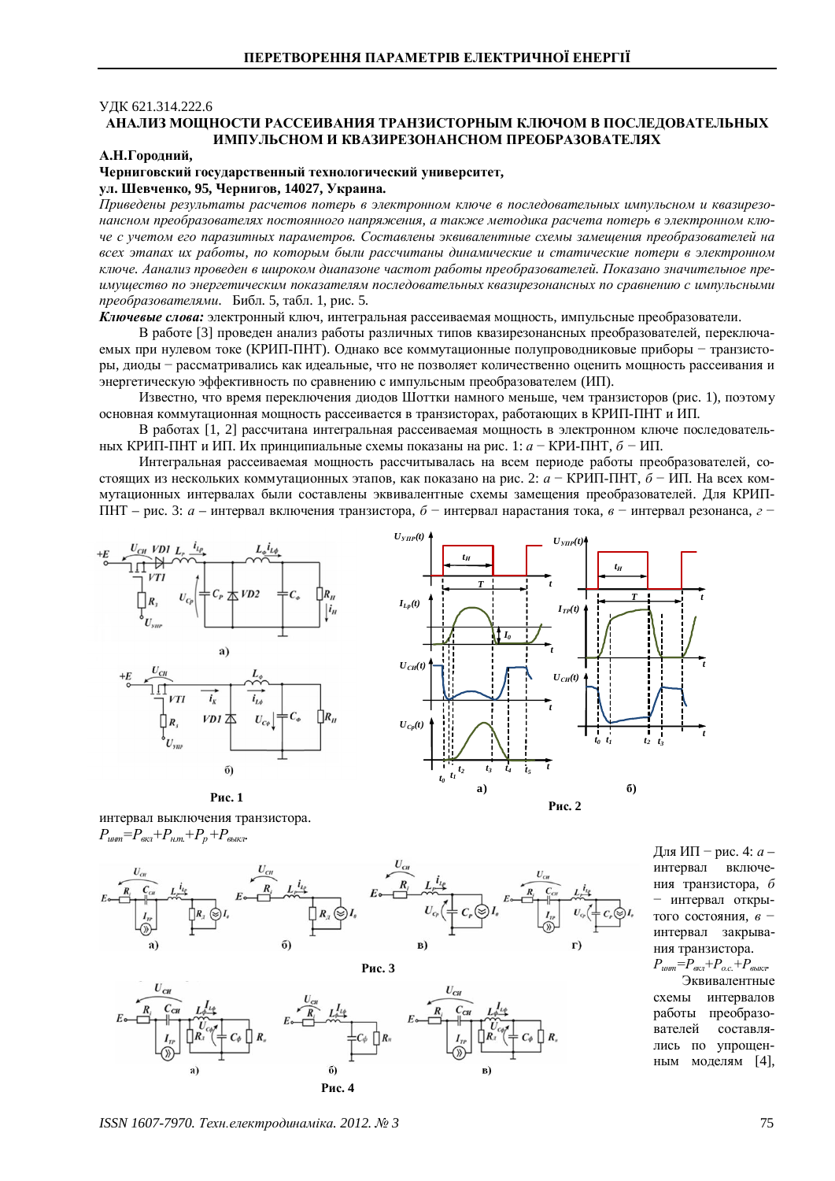## ɍȾɄ 621.314.222.6

# АНАЛИЗ МОШНОСТИ РАССЕИВАНИЯ ТРАНЗИСТОРНЫМ КЛЮЧОМ В ПОСЛЕЛОВАТЕЛЬНЫХ **ɂɆɉɍɅɖɋɇɈɆɂɄȼȺɁɂɊȿɁɈɇȺɇɋɇɈɆɉɊȿɈȻɊȺɁɈȼȺɌȿɅəɏ**

### **А.Н.Городний,**

## Черниговский государственный технологический университет,  $YJ.$  Шевченко, 95, Чернигов, 14027, Украина.

*ɉɪɢɜɟɞɟɧɵɪɟɡɭɥɶɬɚɬɵɪɚɫɱɟɬɨɜ ɩɨɬɟɪɶɜɷɥɟɤɬɪɨɧɧɨɦɤɥɸɱɟɜ ɩɨɫɥɟɞɨɜɚɬɟɥɶɧɵɯ ɢɦɩɭɥɶɫɧɨɦ ɢɤɜɚɡɢɪɟɡɨ*нансном преобразователях постоянного напряжения, а также методика расчета потерь в электронном ключе с учетом его паразитных параметров. Составлены эквивалентные схемы замешения преобразователей на всех этапах их работы, по которым были рассчитаны динамические и статические потери в электронном ключе. Аанализ проведен в широком диапазоне частот работы преобразователей. Показано значительное преuмущество по энергетическим показателям последовательных квазирезонансных по сравнению с импульсными *преобразователями.* Библ. 5, табл. 1, рис. 5.

Ключевые слова: электронный ключ, интегральная рассеиваемая мощность, импульсные преобразователи.

В работе [3] проведен анализ работы различных типов квазирезонансных преобразователей, переключаемых при нулевом токе (КРИП-ПНТ). Однако все коммутационные полупроводниковые приборы - транзисторы, диоды - рассматривались как идеальные, что не позволяет количественно оценить мощность рассеивания и энергетическую эффективность по сравнению с импульсным преобразователем (ИП).

Известно, что время переключения лиолов Шоттки намного меньше, чем транзисторов (рис. 1), поэтому основная коммутационная мощность рассеивается в транзисторах, работающих в КРИП-ПНТ и ИП.

В работах [1, 2] рассчитана интегральная рассеиваемая мощность в электронном ключе последовательных КРИП-ПНТ и ИП. Их принципиальные схемы показаны на рис. 1: *а* − КРИ-ПНТ, *б* − ИП.

Интегральная рассеиваемая мощность рассчитывалась на всем периоде работы преобразователей, состоящих из нескольких коммутационных этапов, как показано на рис. 2: *а* - КРИП-ПНТ, *б* - ИП. На всех коммутационных интервалах были составлены эквивалентные схемы замещения преобразователей. Для КРИП-ПНТ – рис. 3: *а* – интервал включения транзистора,  $\delta$  – интервал нарастания тока,  $\epsilon$  – интервал резонанса, *г* 





интервал выключения транзистора.  $P_{u\mu m} = P_{g\kappa q} + P_{\mu m} + P_p + P_{g\kappa q}$ 

**Рис. 1** 



**Рис. 3** 



Для ИП – рис. 4: *а* – интервал включения транзистора, б – интервал открытого состояния, *в* интервал закрывания транзистора.

 $P_{\text{u}} = P_{\text{ext}} + P_{\text{o.c.}} + P_{\text{6blk}}.$ Эквивалентные схемы интервалов работы преобразователей составлялись по упрощенным моделям [4].